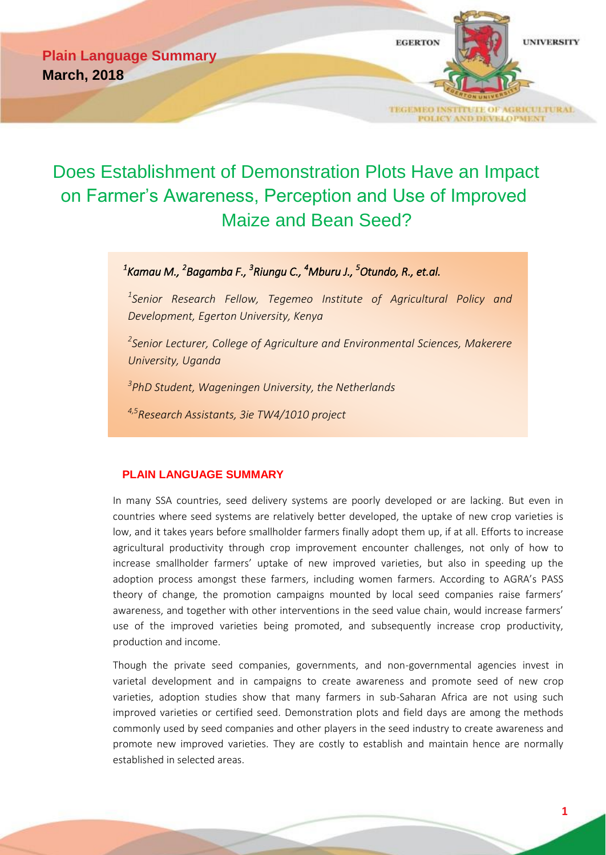**Plain Language Summary March, 2018**



# Does Establishment of Demonstration Plots Have an Impact on Farmer's Awareness, Perception and Use of Improved Maize and Bean Seed?

## *1 Kamau M., <sup>2</sup> Bagamba F., <sup>3</sup> Riungu C., <sup>4</sup>Mburu J., <sup>5</sup>Otundo, R., et.al.*

*1 Senior Research Fellow, Tegemeo Institute of Agricultural Policy and Development, Egerton University, Kenya*

*2 Senior Lecturer, College of Agriculture and Environmental Sciences, Makerere University, Uganda*

*3 PhD Student, Wageningen University, the Netherlands*

*4,5Research Assistants, 3ie TW4/1010 project*

## **PLAIN LANGUAGE SUMMARY**

In many SSA countries, seed delivery systems are poorly developed or are lacking. But even in countries where seed systems are relatively better developed, the uptake of new crop varieties is low, and it takes years before smallholder farmers finally adopt them up, if at all. Efforts to increase agricultural productivity through crop improvement encounter challenges, not only of how to increase smallholder farmers' uptake of new improved varieties, but also in speeding up the adoption process amongst these farmers, including women farmers. According to AGRA's PASS theory of change, the promotion campaigns mounted by local seed companies raise farmers' awareness, and together with other interventions in the seed value chain, would increase farmers' use of the improved varieties being promoted, and subsequently increase crop productivity, production and income.

Though the private seed companies, governments, and non-governmental agencies invest in varietal development and in campaigns to create awareness and promote seed of new crop varieties, adoption studies show that many farmers in sub-Saharan Africa are not using such improved varieties or certified seed. Demonstration plots and field days are among the methods commonly used by seed companies and other players in the seed industry to create awareness and promote new improved varieties. They are costly to establish and maintain hence are normally established in selected areas.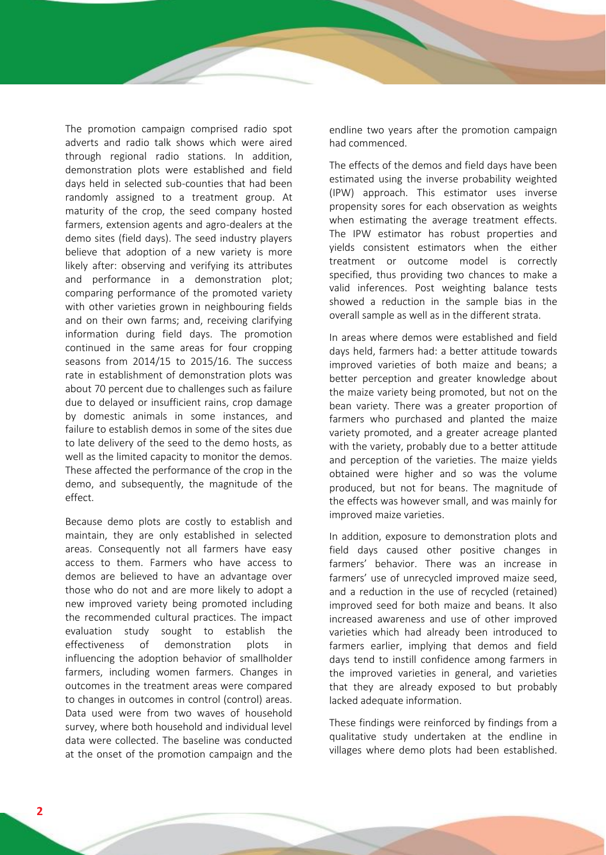The promotion campaign comprised radio spot adverts and radio talk shows which were aired through regional radio stations. In addition, demonstration plots were established and field days held in selected sub-counties that had been randomly assigned to a treatment group. At maturity of the crop, the seed company hosted farmers, extension agents and agro-dealers at the demo sites (field days). The seed industry players believe that adoption of a new variety is more likely after: observing and verifying its attributes and performance in a demonstration plot; comparing performance of the promoted variety with other varieties grown in neighbouring fields and on their own farms; and, receiving clarifying information during field days. The promotion continued in the same areas for four cropping seasons from 2014/15 to 2015/16. The success rate in establishment of demonstration plots was about 70 percent due to challenges such as failure due to delayed or insufficient rains, crop damage by domestic animals in some instances, and failure to establish demos in some of the sites due to late delivery of the seed to the demo hosts, as well as the limited capacity to monitor the demos. These affected the performance of the crop in the demo, and subsequently, the magnitude of the effect.

Because demo plots are costly to establish and maintain, they are only established in selected areas. Consequently not all farmers have easy access to them. Farmers who have access to demos are believed to have an advantage over those who do not and are more likely to adopt a new improved variety being promoted including the recommended cultural practices. The impact evaluation study sought to establish the effectiveness of demonstration plots in influencing the adoption behavior of smallholder farmers, including women farmers. Changes in outcomes in the treatment areas were compared to changes in outcomes in control (control) areas. Data used were from two waves of household survey, where both household and individual level data were collected. The baseline was conducted at the onset of the promotion campaign and the

endline two years after the promotion campaign had commenced.

The effects of the demos and field days have been estimated using the inverse probability weighted (IPW) approach. This estimator uses inverse propensity sores for each observation as weights when estimating the average treatment effects. The IPW estimator has robust properties and yields consistent estimators when the either treatment or outcome model is correctly specified, thus providing two chances to make a valid inferences. Post weighting balance tests showed a reduction in the sample bias in the overall sample as well as in the different strata.

In areas where demos were established and field days held, farmers had: a better attitude towards improved varieties of both maize and beans; a better perception and greater knowledge about the maize variety being promoted, but not on the bean variety. There was a greater proportion of farmers who purchased and planted the maize variety promoted, and a greater acreage planted with the variety, probably due to a better attitude and perception of the varieties. The maize yields obtained were higher and so was the volume produced, but not for beans. The magnitude of the effects was however small, and was mainly for improved maize varieties.

In addition, exposure to demonstration plots and field days caused other positive changes in farmers' behavior. There was an increase in farmers' use of unrecycled improved maize seed, and a reduction in the use of recycled (retained) improved seed for both maize and beans. It also increased awareness and use of other improved varieties which had already been introduced to farmers earlier, implying that demos and field days tend to instill confidence among farmers in the improved varieties in general, and varieties that they are already exposed to but probably lacked adequate information.

These findings were reinforced by findings from a qualitative study undertaken at the endline in villages where demo plots had been established.